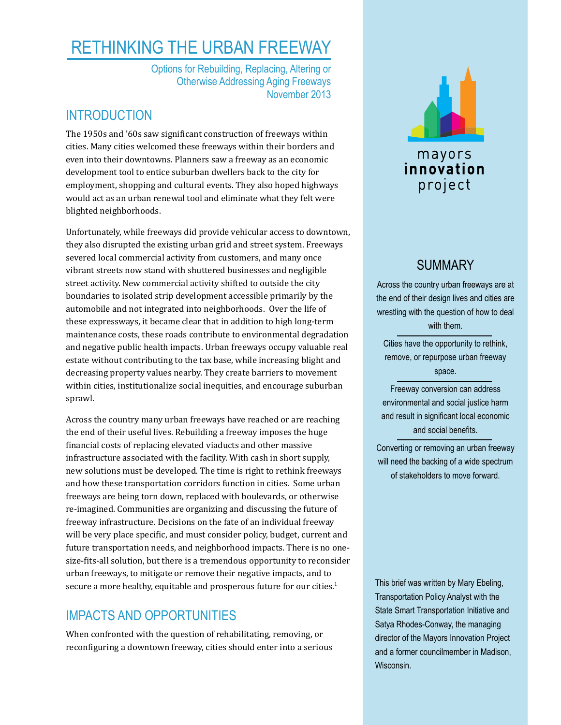# Rethinking the urban freeway

Options for Rebuilding, Replacing, Altering or Otherwise Addressing Aging Freeways November 2013

### **INTRODUCTION**

The 1950s and '60s saw significant construction of freeways within cities. Many cities welcomed these freeways within their borders and even into their downtowns. Planners saw a freeway as an economic development tool to entice suburban dwellers back to the city for employment, shopping and cultural events. They also hoped highways would act as an urban renewal tool and eliminate what they felt were blighted neighborhoods.

Unfortunately, while freeways did provide vehicular access to downtown, they also disrupted the existing urban grid and street system. Freeways severed local commercial activity from customers, and many once vibrant streets now stand with shuttered businesses and negligible street activity. New commercial activity shifted to outside the city boundaries to isolated strip development accessible primarily by the automobile and not integrated into neighborhoods. Over the life of these expressways, it became clear that in addition to high long-term maintenance costs, these roads contribute to environmental degradation and negative public health impacts. Urban freeways occupy valuable real estate without contributing to the tax base, while increasing blight and decreasing property values nearby. They create barriers to movement within cities, institutionalize social inequities, and encourage suburban sprawl.

Across the country many urban freeways have reached or are reaching the end of their useful lives. Rebuilding a freeway imposes the huge financial costs of replacing elevated viaducts and other massive infrastructure associated with the facility. With cash in short supply, new solutions must be developed. The time is right to rethink freeways and how these transportation corridors function in cities. Some urban freeways are being torn down, replaced with boulevards, or otherwise re-imagined. Communities are organizing and discussing the future of freeway infrastructure. Decisions on the fate of an individual freeway will be very place specific, and must consider policy, budget, current and future transportation needs, and neighborhood impacts. There is no onesize-fits-all solution, but there is a tremendous opportunity to reconsider urban freeways, to mitigate or remove their negative impacts, and to secure a more healthy, equitable and prosperous future for our cities.<sup>1</sup>

# Impacts and opportunities

When confronted with the question of rehabilitating, removing, or reconfiguring a downtown freeway, cities should enter into a serious



# **SUMMARY**

Across the country urban freeways are at the end of their design lives and cities are wrestling with the question of how to deal with them.

Cities have the opportunity to rethink, remove, or repurpose urban freeway space.

Freeway conversion can address environmental and social justice harm and result in significant local economic and social benefits.

Converting or removing an urban freeway will need the backing of a wide spectrum of stakeholders to move forward.

This brief was written by Mary Ebeling, Transportation Policy Analyst with the State Smart Transportation Initiative and Satya Rhodes-Conway, the managing director of the Mayors Innovation Project and a former councilmember in Madison, Wisconsin.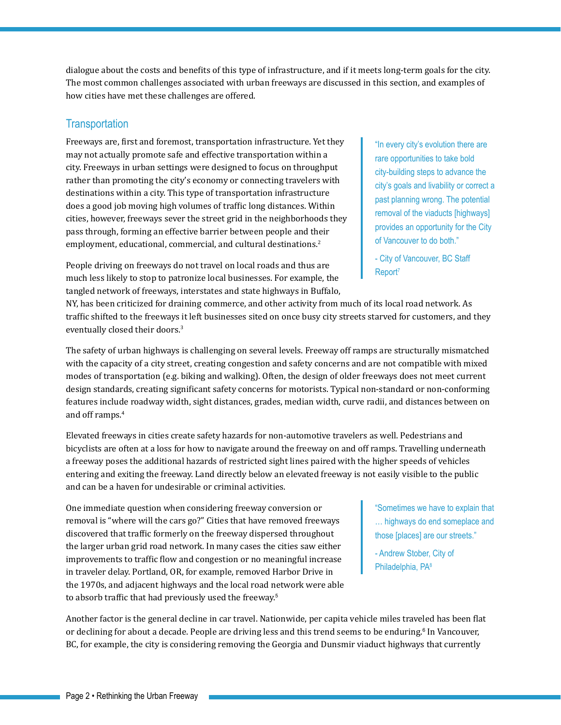dialogue about the costs and benefits of this type of infrastructure, and if it meets long-term goals for the city. The most common challenges associated with urban freeways are discussed in this section, and examples of how cities have met these challenges are offered.

#### **Transportation**

Freeways are, first and foremost, transportation infrastructure. Yet they may not actually promote safe and effective transportation within a city. Freeways in urban settings were designed to focus on throughput rather than promoting the city's economy or connecting travelers with destinations within a city. This type of transportation infrastructure does a good job moving high volumes of traffic long distances. Within cities, however, freeways sever the street grid in the neighborhoods they pass through, forming an effective barrier between people and their employment, educational, commercial, and cultural destinations.<sup>2</sup>

People driving on freeways do not travel on local roads and thus are much less likely to stop to patronize local businesses. For example, the tangled network of freeways, interstates and state highways in Buffalo, "In every city's evolution there are rare opportunities to take bold city-building steps to advance the city's goals and livability or correct a past planning wrong. The potential removal of the viaducts [highways] provides an opportunity for the City of Vancouver to do both."

- City of Vancouver, BC Staff Report<sup>7</sup>

NY, has been criticized for draining commerce, and other activity from much of its local road network. As traffic shifted to the freeways it left businesses sited on once busy city streets starved for customers, and they eventually closed their doors.<sup>3</sup>

The safety of urban highways is challenging on several levels. Freeway off ramps are structurally mismatched with the capacity of a city street, creating congestion and safety concerns and are not compatible with mixed modes of transportation (e.g. biking and walking). Often, the design of older freeways does not meet current design standards, creating significant safety concerns for motorists. Typical non-standard or non-conforming features include roadway width, sight distances, grades, median width, curve radii, and distances between on and off ramps.<sup>4</sup>

Elevated freeways in cities create safety hazards for non-automotive travelers as well. Pedestrians and bicyclists are often at a loss for how to navigate around the freeway on and off ramps. Travelling underneath a freeway poses the additional hazards of restricted sight lines paired with the higher speeds of vehicles entering and exiting the freeway. Land directly below an elevated freeway is not easily visible to the public and can be a haven for undesirable or criminal activities.

One immediate question when considering freeway conversion or removal is "where will the cars go?" Cities that have removed freeways discovered that traffic formerly on the freeway dispersed throughout the larger urban grid road network. In many cases the cities saw either improvements to traffic flow and congestion or no meaningful increase in traveler delay. Portland, OR, for example, removed Harbor Drive in the 1970s, and adjacent highways and the local road network were able to absorb traffic that had previously used the freeway.<sup>5</sup>

"Sometimes we have to explain that … highways do end someplace and those [places] are our streets."

- Andrew Stober, City of Philadelphia, PA<sup>8</sup>

Another factor is the general decline in car travel. Nationwide, per capita vehicle miles traveled has been flat or declining for about a decade. People are driving less and this trend seems to be enduring.<sup>6</sup> In Vancouver, BC, for example, the city is considering removing the Georgia and Dunsmir viaduct highways that currently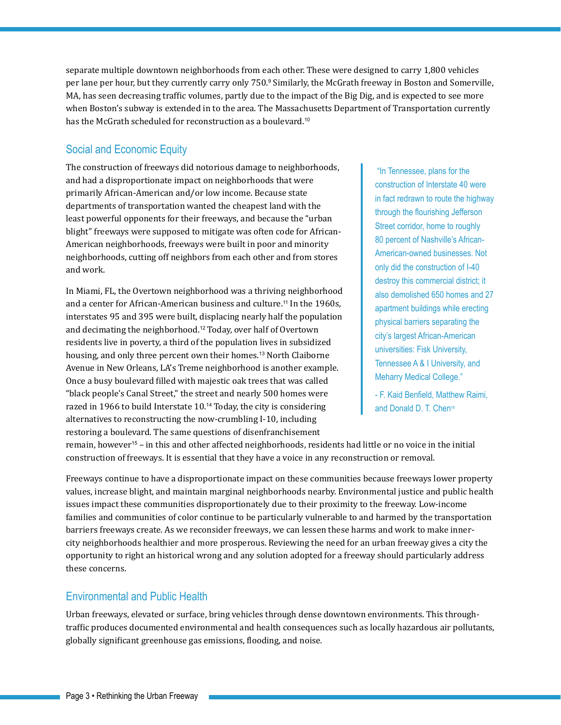separate multiple downtown neighborhoods from each other. These were designed to carry 1,800 vehicles per lane per hour, but they currently carry only 750.º Similarly, the McGrath freeway in Boston and Somerville, MA, has seen decreasing traffic volumes, partly due to the impact of the Big Dig, and is expected to see more when Boston's subway is extended in to the area. The Massachusetts Department of Transportation currently has the McGrath scheduled for reconstruction as a boulevard.<sup>10</sup>

### Social and Economic Equity

The construction of freeways did notorious damage to neighborhoods, and had a disproportionate impact on neighborhoods that were primarily African-American and/or low income. Because state departments of transportation wanted the cheapest land with the least powerful opponents for their freeways, and because the "urban blight" freeways were supposed to mitigate was often code for African-American neighborhoods, freeways were built in poor and minority neighborhoods, cutting off neighbors from each other and from stores and work.

In Miami, FL, the Overtown neighborhood was a thriving neighborhood and a center for African-American business and culture.<sup>11</sup> In the 1960s, interstates 95 and 395 were built, displacing nearly half the population and decimating the neighborhood.<sup>12</sup> Today, over half of Overtown residents live in poverty, a third of the population lives in subsidized housing, and only three percent own their homes.<sup>13</sup> North Claiborne Avenue in New Orleans, LA's Treme neighborhood is another example. Once a busy boulevard filled with majestic oak trees that was called "black people's Canal Street," the street and nearly 500 homes were razed in 1966 to build Interstate 10.<sup>14</sup> Today, the city is considering alternatives to reconstructing the now-crumbling I-10, including restoring a boulevard. The same questions of disenfranchisement

 "In Tennessee, plans for the construction of Interstate 40 were in fact redrawn to route the highway through the flourishing Jefferson Street corridor, home to roughly 80 percent of Nashville's African-American-owned businesses. Not only did the construction of I-40 destroy this commercial district; it also demolished 650 homes and 27 apartment buildings while erecting physical barriers separating the city's largest African-American universities: Fisk University, Tennessee A & I University, and Meharry Medical College."

- F. Kaid Benfield, Matthew Raimi, and Donald D. T. Chen<sup>16</sup>

remain, however<sup>15</sup> – in this and other affected neighborhoods, residents had little or no voice in the initial construction of freeways. It is essential that they have a voice in any reconstruction or removal.

Freeways continue to have a disproportionate impact on these communities because freeways lower property values, increase blight, and maintain marginal neighborhoods nearby. Environmental justice and public health issues impact these communities disproportionately due to their proximity to the freeway. Low-income families and communities of color continue to be particularly vulnerable to and harmed by the transportation barriers freeways create. As we reconsider freeways, we can lessen these harms and work to make innercity neighborhoods healthier and more prosperous. Reviewing the need for an urban freeway gives a city the opportunity to right an historical wrong and any solution adopted for a freeway should particularly address these concerns.

### Environmental and Public Health

Urban freeways, elevated or surface, bring vehicles through dense downtown environments. This throughtraffic produces documented environmental and health consequences such as locally hazardous air pollutants, globally significant greenhouse gas emissions, flooding, and noise.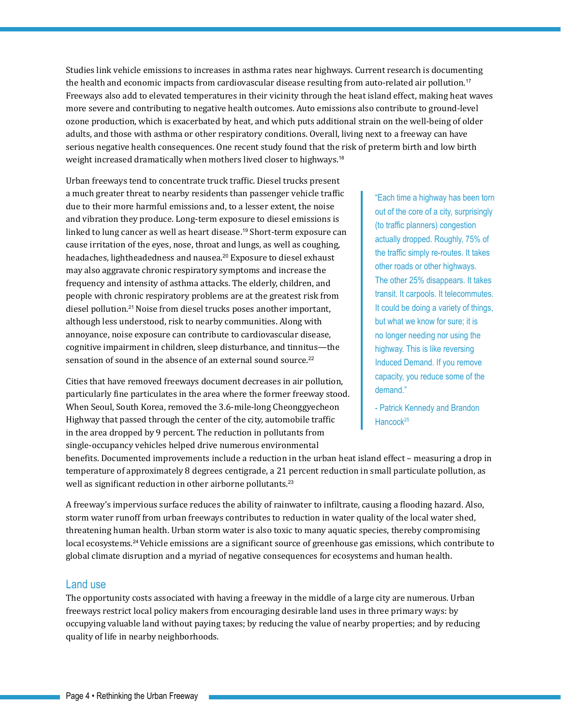Studies link vehicle emissions to increases in asthma rates near highways. Current research is documenting the health and economic impacts from cardiovascular disease resulting from auto-related air pollution.<sup>17</sup> Freeways also add to elevated temperatures in their vicinity through the heat island effect, making heat waves more severe and contributing to negative health outcomes. Auto emissions also contribute to ground-level ozone production, which is exacerbated by heat, and which puts additional strain on the well-being of older adults, and those with asthma or other respiratory conditions. Overall, living next to a freeway can have serious negative health consequences. One recent study found that the risk of preterm birth and low birth weight increased dramatically when mothers lived closer to highways.<sup>18</sup>

Urban freeways tend to concentrate truck traffic. Diesel trucks present a much greater threat to nearby residents than passenger vehicle traffic due to their more harmful emissions and, to a lesser extent, the noise and vibration they produce. Long-term exposure to diesel emissions is linked to lung cancer as well as heart disease.<sup>19</sup> Short-term exposure can cause irritation of the eyes, nose, throat and lungs, as well as coughing, headaches, lightheadedness and nausea.<sup>20</sup> Exposure to diesel exhaust may also aggravate chronic respiratory symptoms and increase the frequency and intensity of asthma attacks. The elderly, children, and people with chronic respiratory problems are at the greatest risk from diesel pollution.<sup>21</sup>Noise from diesel trucks poses another important, although less understood, risk to nearby communities. Along with annoyance, noise exposure can contribute to cardiovascular disease, cognitive impairment in children, sleep disturbance, and tinnitus—the sensation of sound in the absence of an external sound source.<sup>22</sup>

Cities that have removed freeways document decreases in air pollution, particularly fine particulates in the area where the former freeway stood. When Seoul, South Korea, removed the 3.6-mile-long Cheonggyecheon Highway that passed through the center of the city, automobile traffic in the area dropped by 9 percent. The reduction in pollutants from single-occupancy vehicles helped drive numerous environmental

"Each time a highway has been torn out of the core of a city, surprisingly (to traffic planners) congestion actually dropped. Roughly, 75% of the traffic simply re-routes. It takes other roads or other highways. The other 25% disappears. It takes transit. It carpools. It telecommutes. It could be doing a variety of things, but what we know for sure; it is no longer needing nor using the highway. This is like reversing Induced Demand. If you remove capacity, you reduce some of the demand."

- Patrick Kennedy and Brandon Hancock<sup>25</sup>

benefits. Documented improvements include a reduction in the urban heat island effect – measuring a drop in temperature of approximately 8 degrees centigrade, a 21 percent reduction in small particulate pollution, as well as significant reduction in other airborne pollutants.<sup>23</sup>

A freeway's impervious surface reduces the ability of rainwater to infiltrate, causing a flooding hazard. Also, storm water runoff from urban freeways contributes to reduction in water quality of the local water shed, threatening human health. Urban storm water is also toxic to many aquatic species, thereby compromising local ecosystems.<sup>24</sup>Vehicle emissions are a significant source of greenhouse gas emissions, which contribute to global climate disruption and a myriad of negative consequences for ecosystems and human health.

#### Land use

The opportunity costs associated with having a freeway in the middle of a large city are numerous. Urban freeways restrict local policy makers from encouraging desirable land uses in three primary ways: by occupying valuable land without paying taxes; by reducing the value of nearby properties; and by reducing quality of life in nearby neighborhoods.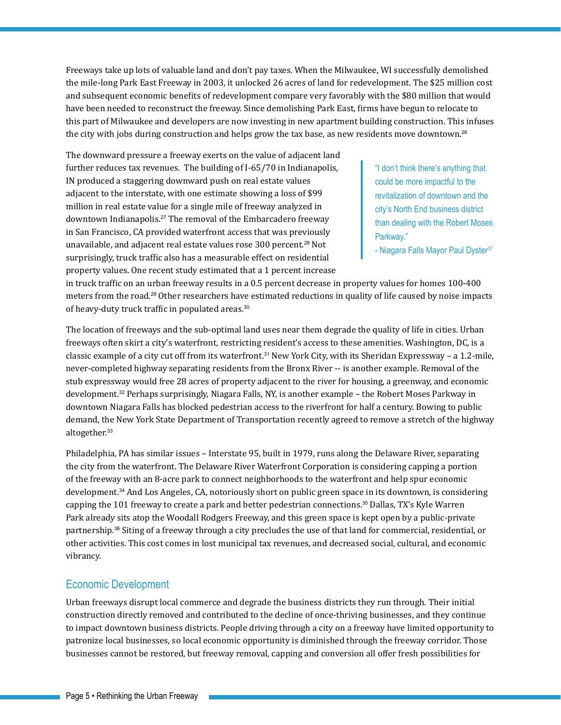Freeways take up lots of valuable land and don't pay taxes. When the Milwaukee, WI successfully demolished the mile-long Park East Freeway in 2003, it unlocked 26 acres of land for redevelopment. The \$25 million cost and subsequent economic benefits of redevelopment compare very favorably with the \$80 million that would have been needed to reconstruct the freeway. Since demolishing Park East, firms have begun to relocate to this part of Milwaukee and developers are now investing in new apartment building construction. This infuses the city with jobs during construction and helps grow the tax base, as new residents move downtown.<sup>26</sup>

The downward pressure a freeway exerts on the value of adjacent land further reduces tax revenues. The building of I-65/70 in Indianapolis, IN produced a staggering downward push on real estate values adjacent to the interstate, with one estimate showing a loss of \$99 million in real estate value for a single mile of freeway analyzed in downtown Indianapolis.<sup>27</sup> The removal of the Embarcadero freeway in San Francisco, CA provided waterfront access that was previously unavailable, and adjacent real estate values rose 300 percent.<sup>28</sup> Not surprisingly, truck traffic also has a measurable effect on residential property values. One recent study estimated that a 1 percent increase

"I don't think there's anything that could be more impactful to the revitalization of downtown and the city's North End business district than dealing with the Robert Moses Parkway."

- Niagara Falls Mayor Paul Dyster<sup>37</sup>

in truck traffic on an urban freeway results in a 0.5 percent decrease in property values for homes 100-400 meters from the road.<sup>29</sup> Other researchers have estimated reductions in quality of life caused by noise impacts of heavy-duty truck traffic in populated areas.<sup>30</sup>

The location of freeways and the sub-optimal land uses near them degrade the quality of life in cities. Urban freeways often skirt a city's waterfront, restricting resident's access to these amenities. Washington, DC, is a classic example of a city cut off from its waterfront.<sup>31</sup> New York City, with its Sheridan Expressway – a 1.2-mile, never-completed highway separating residents from the Bronx River -- is another example. Removal of the stub expressway would free 28 acres of property adjacent to the river for housing, a greenway, and economic development.<sup>32</sup> Perhaps surprisingly, Niagara Falls, NY, is another example – the Robert Moses Parkway in downtown Niagara Falls has blocked pedestrian access to the riverfront for half a century. Bowing to public demand, the New York State Department of Transportation recently agreed to remove a stretch of the highway altogether.<sup>33</sup>

Philadelphia, PA has similar issues – Interstate 95, built in 1979, runs along the Delaware River, separating the city from the waterfront. The Delaware River Waterfront Corporation is considering capping a portion of the freeway with an 8-acre park to connect neighborhoods to the waterfront and help spur economic development.<sup>34</sup> And Los Angeles, CA, notoriously short on public green space in its downtown, is considering capping the 101 freeway to create a park and better pedestrian connections.<sup>35</sup> Dallas, TX's Kyle Warren Park already sits atop the Woodall Rodgers Freeway, and this green space is kept open by a public-private partnership.<sup>36</sup> Siting of a freeway through a city precludes the use of that land for commercial, residential, or other activities. This cost comes in lost municipal tax revenues, and decreased social, cultural, and economic vibrancy.

#### Economic Development

Urban freeways disrupt local commerce and degrade the business districts they run through. Their initial construction directly removed and contributed to the decline of once-thriving businesses, and they continue to impact downtown business districts. People driving through a city on a freeway have limited opportunity to patronize local businesses, so local economic opportunity is diminished through the freeway corridor. Those businesses cannot be restored, but freeway removal, capping and conversion all offer fresh possibilities for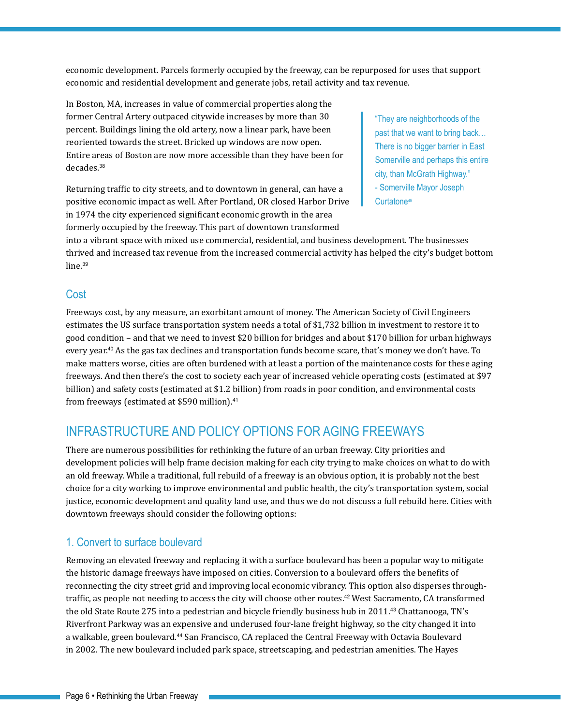economic development. Parcels formerly occupied by the freeway, can be repurposed for uses that support economic and residential development and generate jobs, retail activity and tax revenue.

In Boston, MA, increases in value of commercial properties along the former Central Artery outpaced citywide increases by more than 30 percent. Buildings lining the old artery, now a linear park, have been reoriented towards the street. Bricked up windows are now open. Entire areas of Boston are now more accessible than they have been for decades.<sup>38</sup>

Returning traffic to city streets, and to downtown in general, can have a positive economic impact as well. After Portland, OR closed Harbor Drive in 1974 the city experienced significant economic growth in the area formerly occupied by the freeway. This part of downtown transformed

"They are neighborhoods of the past that we want to bring back… There is no bigger barrier in East Somerville and perhaps this entire city, than McGrath Highway." - Somerville Mayor Joseph Curtatone<sup>45</sup>

into a vibrant space with mixed use commercial, residential, and business development. The businesses thrived and increased tax revenue from the increased commercial activity has helped the city's budget bottom line.<sup>39</sup>

### **Cost**

Freeways cost, by any measure, an exorbitant amount of money. The American Society of Civil Engineers estimates the US surface transportation system needs a total of \$1,732 billion in investment to restore it to good condition – and that we need to invest \$20 billion for bridges and about \$170 billion for urban highways every year.<sup>40</sup> As the gas tax declines and transportation funds become scare, that's money we don't have. To make matters worse, cities are often burdened with at least a portion of the maintenance costs for these aging freeways. And then there's the cost to society each year of increased vehicle operating costs (estimated at \$97 billion) and safety costs (estimated at \$1.2 billion) from roads in poor condition, and environmental costs from freeways (estimated at \$590 million).<sup>41</sup>

# Infrastructure and policy options for aging freeways

There are numerous possibilities for rethinking the future of an urban freeway. City priorities and development policies will help frame decision making for each city trying to make choices on what to do with an old freeway. While a traditional, full rebuild of a freeway is an obvious option, it is probably not the best choice for a city working to improve environmental and public health, the city's transportation system, social justice, economic development and quality land use, and thus we do not discuss a full rebuild here. Cities with downtown freeways should consider the following options:

### 1. Convert to surface boulevard

Removing an elevated freeway and replacing it with a surface boulevard has been a popular way to mitigate the historic damage freeways have imposed on cities. Conversion to a boulevard offers the benefits of reconnecting the city street grid and improving local economic vibrancy. This option also disperses throughtraffic, as people not needing to access the city will choose other routes.<sup>42</sup> West Sacramento, CA transformed the old State Route 275 into a pedestrian and bicycle friendly business hub in 2011.<sup>43</sup> Chattanooga, TN's Riverfront Parkway was an expensive and underused four-lane freight highway, so the city changed it into a walkable, green boulevard.<sup>44</sup> San Francisco, CA replaced the Central Freeway with Octavia Boulevard in 2002. The new boulevard included park space, streetscaping, and pedestrian amenities. The Hayes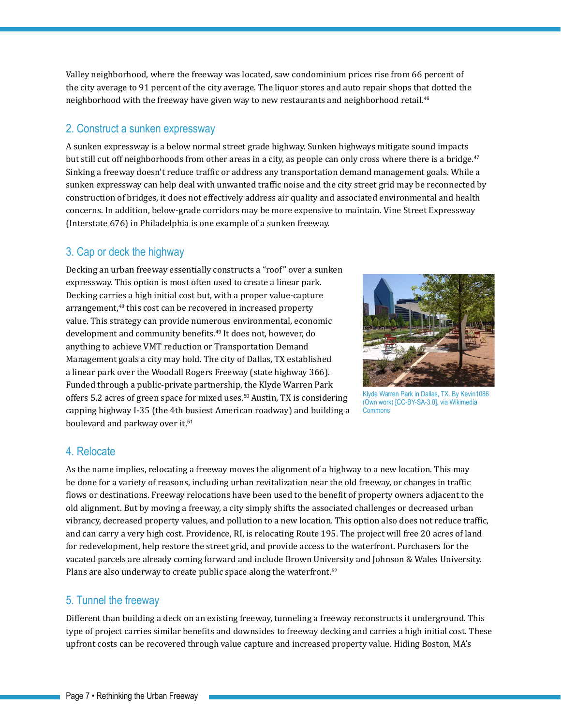Valley neighborhood, where the freeway was located, saw condominium prices rise from 66 percent of the city average to 91 percent of the city average. The liquor stores and auto repair shops that dotted the neighborhood with the freeway have given way to new restaurants and neighborhood retail.<sup>46</sup>

#### 2. Construct a sunken expressway

A sunken expressway is a below normal street grade highway. Sunken highways mitigate sound impacts but still cut off neighborhoods from other areas in a city, as people can only cross where there is a bridge.<sup>47</sup> Sinking a freeway doesn't reduce traffic or address any transportation demand management goals. While a sunken expressway can help deal with unwanted traffic noise and the city street grid may be reconnected by construction of bridges, it does not effectively address air quality and associated environmental and health concerns. In addition, below-grade corridors may be more expensive to maintain. Vine Street Expressway (Interstate 676) in Philadelphia is one example of a sunken freeway.

### 3. Cap or deck the highway

Decking an urban freeway essentially constructs a "roof" over a sunken expressway. This option is most often used to create a linear park. Decking carries a high initial cost but, with a proper value-capture arrangement,<sup>48</sup> this cost can be recovered in increased property value. This strategy can provide numerous environmental, economic development and community benefits.<sup>49</sup> It does not, however, do anything to achieve VMT reduction or Transportation Demand Management goals a city may hold. The city of Dallas, TX established a linear park over the Woodall Rogers Freeway (state highway 366). Funded through a public-private partnership, the Klyde Warren Park offers 5.2 acres of green space for mixed uses.<sup>50</sup> Austin, TX is considering capping highway I-35 (the 4th busiest American roadway) and building a boulevard and parkway over it.<sup>51</sup>



Klyde Warren Park in Dallas, TX. By Kevin1086 (Own work) [CC-BY-SA-3.0], via Wikimedia **Commons** 

#### 4. Relocate

As the name implies, relocating a freeway moves the alignment of a highway to a new location. This may be done for a variety of reasons, including urban revitalization near the old freeway, or changes in traffic flows or destinations. Freeway relocations have been used to the benefit of property owners adjacent to the old alignment. But by moving a freeway, a city simply shifts the associated challenges or decreased urban vibrancy, decreased property values, and pollution to a new location. This option also does not reduce traffic, and can carry a very high cost. Providence, RI, is relocating Route 195. The project will free 20 acres of land for redevelopment, help restore the street grid, and provide access to the waterfront. Purchasers for the vacated parcels are already coming forward and include Brown University and Johnson & Wales University. Plans are also underway to create public space along the waterfront.<sup>52</sup>

#### 5. Tunnel the freeway

Different than building a deck on an existing freeway, tunneling a freeway reconstructs it underground. This type of project carries similar benefits and downsides to freeway decking and carries a high initial cost. These upfront costs can be recovered through value capture and increased property value. Hiding Boston, MA's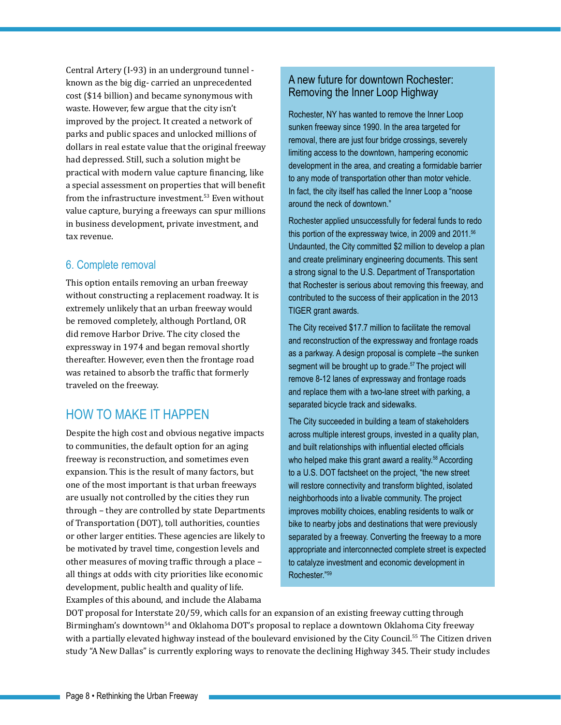Central Artery (I-93) in an underground tunnel known as the big dig- carried an unprecedented cost (\$14 billion) and became synonymous with waste. However, few argue that the city isn't improved by the project. It created a network of parks and public spaces and unlocked millions of dollars in real estate value that the original freeway had depressed. Still, such a solution might be practical with modern value capture financing, like a special assessment on properties that will benefit from the infrastructure investment.<sup>53</sup> Even without value capture, burying a freeways can spur millions in business development, private investment, and tax revenue.

### 6. Complete removal

This option entails removing an urban freeway without constructing a replacement roadway. It is extremely unlikely that an urban freeway would be removed completely, although Portland, OR did remove Harbor Drive. The city closed the expressway in 1974 and began removal shortly thereafter. However, even then the frontage road was retained to absorb the traffic that formerly traveled on the freeway.

# How to make it happen

Despite the high cost and obvious negative impacts to communities, the default option for an aging freeway is reconstruction, and sometimes even expansion. This is the result of many factors, but one of the most important is that urban freeways are usually not controlled by the cities they run through – they are controlled by state Departments of Transportation (DOT), toll authorities, counties or other larger entities. These agencies are likely to be motivated by travel time, congestion levels and other measures of moving traffic through a place – all things at odds with city priorities like economic development, public health and quality of life. Examples of this abound, and include the Alabama

### A new future for downtown Rochester: Removing the Inner Loop Highway

Rochester, NY has wanted to remove the Inner Loop sunken freeway since 1990. In the area targeted for removal, there are just four bridge crossings, severely limiting access to the downtown, hampering economic development in the area, and creating a formidable barrier to any mode of transportation other than motor vehicle. In fact, the city itself has called the Inner Loop a "noose around the neck of downtown."

Rochester applied unsuccessfully for federal funds to redo this portion of the expressway twice, in 2009 and 2011.<sup>56</sup> Undaunted, the City committed \$2 million to develop a plan and create preliminary engineering documents. This sent a strong signal to the U.S. Department of Transportation that Rochester is serious about removing this freeway, and contributed to the success of their application in the 2013 TIGER grant awards.

The City received \$17.7 million to facilitate the removal and reconstruction of the expressway and frontage roads as a parkway. A design proposal is complete –the sunken segment will be brought up to grade.<sup>57</sup> The project will remove 8-12 lanes of expressway and frontage roads and replace them with a two-lane street with parking, a separated bicycle track and sidewalks.

The City succeeded in building a team of stakeholders across multiple interest groups, invested in a quality plan, and built relationships with influential elected officials who helped make this grant award a reality.<sup>58</sup> According to a U.S. DOT factsheet on the project, "the new street will restore connectivity and transform blighted, isolated neighborhoods into a livable community. The project improves mobility choices, enabling residents to walk or bike to nearby jobs and destinations that were previously separated by a freeway. Converting the freeway to a more appropriate and interconnected complete street is expected to catalyze investment and economic development in Rochester."59

DOT proposal for Interstate 20/59, which calls for an expansion of an existing freeway cutting through Birmingham's downtown<sup>54</sup> and Oklahoma DOT's proposal to replace a downtown Oklahoma City freeway with a partially elevated highway instead of the boulevard envisioned by the City Council.<sup>55</sup> The Citizen driven study "A New Dallas" is currently exploring ways to renovate the declining Highway 345. Their study includes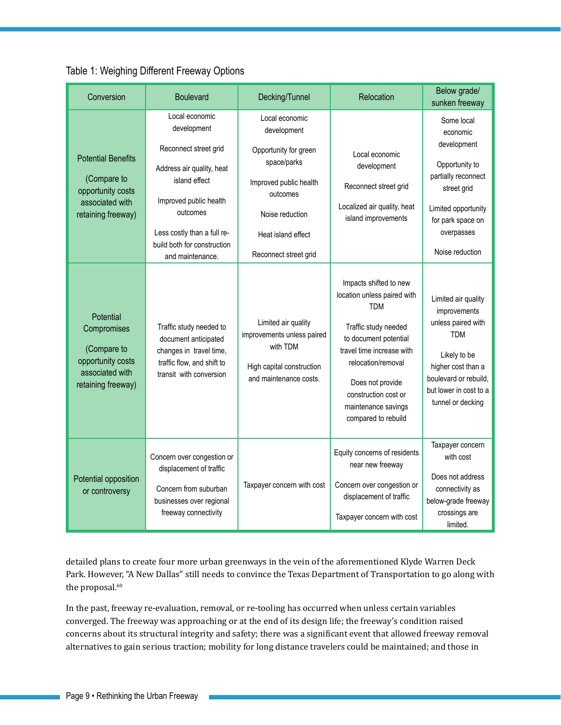| Conversion                                                                                             | <b>Boulevard</b>                                                                                                                                                                                         | Decking/Tunnel                                                                                                                                       | Relocation                                                                                                                                                                                                                                                        | Below grade/<br>sunken freeway                                                                                                                                                        |
|--------------------------------------------------------------------------------------------------------|----------------------------------------------------------------------------------------------------------------------------------------------------------------------------------------------------------|------------------------------------------------------------------------------------------------------------------------------------------------------|-------------------------------------------------------------------------------------------------------------------------------------------------------------------------------------------------------------------------------------------------------------------|---------------------------------------------------------------------------------------------------------------------------------------------------------------------------------------|
| <b>Potential Benefits</b><br>(Compare to<br>opportunity costs<br>associated with<br>retaining freeway) | Local economic<br>development<br>Reconnect street grid<br>Address air quality, heat<br>island effect<br>Improved public health<br>outcomes<br>Less costly than a full re-<br>build both for construction | Local economic<br>development<br>Opportunity for green<br>space/parks<br>Improved public health<br>outcomes<br>Noise reduction<br>Heat island effect | Local economic<br>development<br>Reconnect street grid<br>Localized air quality, heat<br>island improvements                                                                                                                                                      | Some local<br>economic<br>development<br>Opportunity to<br>partially reconnect<br>street grid<br>Limited opportunity<br>for park space on<br>overpasses<br>Noise reduction            |
| Potential<br>Compromises<br>(Compare to<br>opportunity costs<br>associated with<br>retaining freeway)  | and maintenance.<br>Traffic study needed to<br>document anticipated<br>changes in travel time,<br>traffic flow, and shift to<br>transit with conversion                                                  | Reconnect street grid<br>Limited air quality<br>improvements unless paired<br>with TDM<br>High capital construction<br>and maintenance costs.        | Impacts shifted to new<br>location unless paired with<br><b>TDM</b><br>Traffic study needed<br>to document potential<br>travel time increase with<br>relocation/removal<br>Does not provide<br>construction cost or<br>maintenance savings<br>compared to rebuild | Limited air quality<br>improvements<br>unless paired with<br><b>TDM</b><br>Likely to be<br>higher cost than a<br>boulevard or rebuild.<br>but lower in cost to a<br>tunnel or decking |
| Potential opposition<br>or controversy                                                                 | Concern over congestion or<br>displacement of traffic<br>Concern from suburban<br>businesses over regional<br>freeway connectivity                                                                       | Taxpayer concern with cost                                                                                                                           | Equity concerns of residents<br>near new freeway<br>Concern over congestion or<br>displacement of traffic<br>Taxpayer concern with cost                                                                                                                           | Taxpayer concern<br>with cost<br>Does not address<br>connectivity as<br>below-grade freeway<br>crossings are<br>limited.                                                              |

#### Table 1: Weighing Different Freeway Options

detailed plans to create four more urban greenways in the vein of the aforementioned Klyde Warren Deck Park. However, "A New Dallas" still needs to convince the Texas Department of Transportation to go along with the proposal.<sup>60</sup>

In the past, freeway re-evaluation, removal, or re-tooling has occurred when unless certain variables converged. The freeway was approaching or at the end of its design life; the freeway's condition raised concerns about its structural integrity and safety; there was a significant event that allowed freeway removal alternatives to gain serious traction; mobility for long distance travelers could be maintained; and those in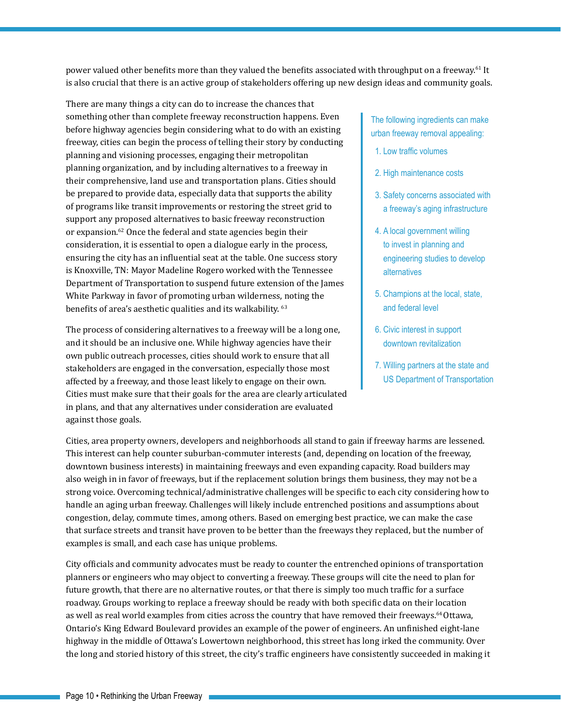power valued other benefits more than they valued the benefits associated with throughput on a freeway.<sup>61</sup> It is also crucial that there is an active group of stakeholders offering up new design ideas and community goals.

There are many things a city can do to increase the chances that something other than complete freeway reconstruction happens. Even before highway agencies begin considering what to do with an existing freeway, cities can begin the process of telling their story by conducting planning and visioning processes, engaging their metropolitan planning organization, and by including alternatives to a freeway in their comprehensive, land use and transportation plans. Cities should be prepared to provide data, especially data that supports the ability of programs like transit improvements or restoring the street grid to support any proposed alternatives to basic freeway reconstruction or expansion.<sup>62</sup> Once the federal and state agencies begin their consideration, it is essential to open a dialogue early in the process, ensuring the city has an influential seat at the table. One success story is Knoxville, TN: Mayor Madeline Rogero worked with the Tennessee Department of Transportation to suspend future extension of the James White Parkway in favor of promoting urban wilderness, noting the benefits of area's aesthetic qualities and its walkability. <sup>63</sup>

The process of considering alternatives to a freeway will be a long one, and it should be an inclusive one. While highway agencies have their own public outreach processes, cities should work to ensure that all stakeholders are engaged in the conversation, especially those most affected by a freeway, and those least likely to engage on their own. Cities must make sure that their goals for the area are clearly articulated in plans, and that any alternatives under consideration are evaluated against those goals.

The following ingredients can make urban freeway removal appealing:

- 1. Low traffic volumes
- 2. High maintenance costs
- 3. Safety concerns associated with a freeway's aging infrastructure
- 4. A local government willing to invest in planning and engineering studies to develop alternatives
- 5. Champions at the local, state, and federal level
- 6. Civic interest in support downtown revitalization
- 7. Willing partners at the state and US Department of Transportation

Cities, area property owners, developers and neighborhoods all stand to gain if freeway harms are lessened. This interest can help counter suburban-commuter interests (and, depending on location of the freeway, downtown business interests) in maintaining freeways and even expanding capacity. Road builders may also weigh in in favor of freeways, but if the replacement solution brings them business, they may not be a strong voice. Overcoming technical/administrative challenges will be specific to each city considering how to handle an aging urban freeway. Challenges will likely include entrenched positions and assumptions about congestion, delay, commute times, among others. Based on emerging best practice, we can make the case that surface streets and transit have proven to be better than the freeways they replaced, but the number of examples is small, and each case has unique problems.

City officials and community advocates must be ready to counter the entrenched opinions of transportation planners or engineers who may object to converting a freeway. These groups will cite the need to plan for future growth, that there are no alternative routes, or that there is simply too much traffic for a surface roadway. Groups working to replace a freeway should be ready with both specific data on their location as well as real world examples from cities across the country that have removed their freeways.<sup>64</sup> Ottawa, Ontario's King Edward Boulevard provides an example of the power of engineers. An unfinished eight-lane highway in the middle of Ottawa's Lowertown neighborhood, this street has long irked the community. Over the long and storied history of this street, the city's traffic engineers have consistently succeeded in making it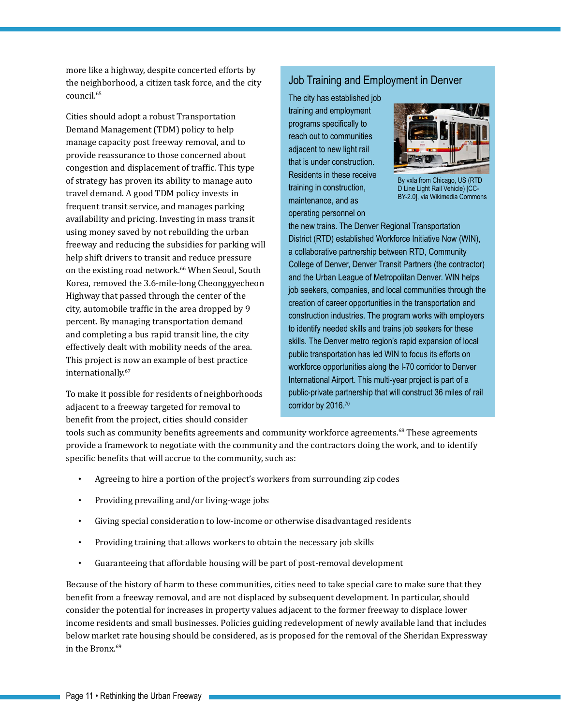more like a highway, despite concerted efforts by the neighborhood, a citizen task force, and the city council.<sup>65</sup>

Cities should adopt a robust Transportation Demand Management (TDM) policy to help manage capacity post freeway removal, and to provide reassurance to those concerned about congestion and displacement of traffic. This type of strategy has proven its ability to manage auto travel demand. A good TDM policy invests in frequent transit service, and manages parking availability and pricing. Investing in mass transit using money saved by not rebuilding the urban freeway and reducing the subsidies for parking will help shift drivers to transit and reduce pressure on the existing road network.<sup>66</sup> When Seoul, South Korea, removed the 3.6-mile-long Cheonggyecheon Highway that passed through the center of the city, automobile traffic in the area dropped by 9 percent. By managing transportation demand and completing a bus rapid transit line, the city effectively dealt with mobility needs of the area. This project is now an example of best practice internationally.67

To make it possible for residents of neighborhoods adjacent to a freeway targeted for removal to benefit from the project, cities should consider

### Job Training and Employment in Denver

The city has established job training and employment programs specifically to reach out to communities adjacent to new light rail that is under construction. Residents in these receive training in construction, maintenance, and as operating personnel on



By vxla from Chicago, US (RTD D Line Light Rail Vehicle) [CC-BY-2.0], via Wikimedia Commons

the new trains. The Denver Regional Transportation District (RTD) established Workforce Initiative Now (WIN), a collaborative partnership between RTD, Community College of Denver, Denver Transit Partners (the contractor) and the Urban League of Metropolitan Denver. WIN helps job seekers, companies, and local communities through the creation of career opportunities in the transportation and construction industries. The program works with employers to identify needed skills and trains job seekers for these skills. The Denver metro region's rapid expansion of local public transportation has led WIN to focus its efforts on workforce opportunities along the I-70 corridor to Denver International Airport. This multi-year project is part of a public-private partnership that will construct 36 miles of rail corridor by 2016.<sup>70</sup>

tools such as community benefits agreements and community workforce agreements.<sup>68</sup> These agreements provide a framework to negotiate with the community and the contractors doing the work, and to identify specific benefits that will accrue to the community, such as:

- Agreeing to hire a portion of the project's workers from surrounding zip codes
- Providing prevailing and/or living-wage jobs
- Giving special consideration to low-income or otherwise disadvantaged residents
- Providing training that allows workers to obtain the necessary job skills
- Guaranteeing that affordable housing will be part of post-removal development

Because of the history of harm to these communities, cities need to take special care to make sure that they benefit from a freeway removal, and are not displaced by subsequent development. In particular, should consider the potential for increases in property values adjacent to the former freeway to displace lower income residents and small businesses. Policies guiding redevelopment of newly available land that includes below market rate housing should be considered, as is proposed for the removal of the Sheridan Expressway in the Bronx.<sup>69</sup>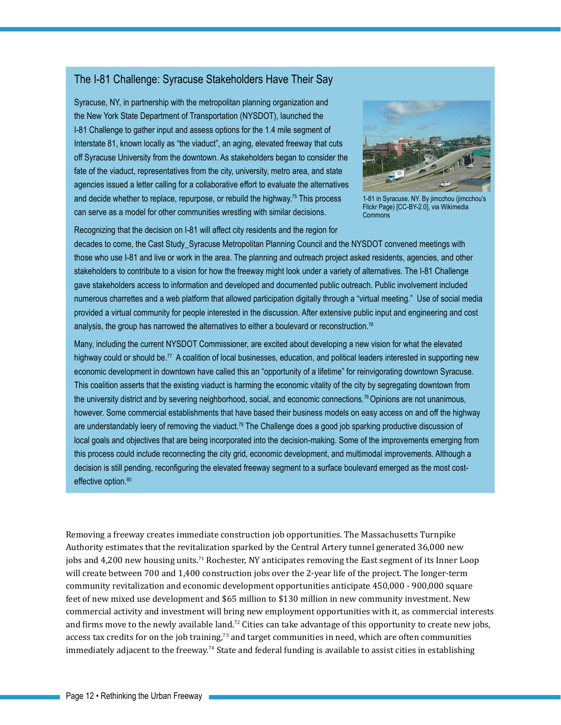### The I-81 Challenge: Syracuse Stakeholders Have Their Say

Syracuse, NY, in partnership with the metropolitan planning organization and the New York State Department of Transportation (NYSDOT), launched the I-81 Challenge to gather input and assess options for the 1.4 mile segment of Interstate 81, known locally as "the viaduct", an aging, elevated freeway that cuts off Syracuse University from the downtown. As stakeholders began to consider the fate of the viaduct, representatives from the city, university, metro area, and state agencies issued a letter calling for a collaborative effort to evaluate the alternatives and decide whether to replace, repurpose, or rebuild the highway.75 This process can serve as a model for other communities wrestling with similar decisions.



1-81 in Syracuse, NY. By jimcchou (jimcchou's Flickr Page) [CC-BY-2.0], via Wikimedia **Commons** 

Recognizing that the decision on I-81 will affect city residents and the region for

decades to come, the Cast Study\_Syracuse Metropolitan Planning Council and the NYSDOT convened meetings with those who use I-81 and live or work in the area. The planning and outreach project asked residents, agencies, and other stakeholders to contribute to a vision for how the freeway might look under a variety of alternatives. The I-81 Challenge gave stakeholders access to information and developed and documented public outreach. Public involvement included numerous charrettes and a web platform that allowed participation digitally through a "virtual meeting." Use of social media provided a virtual community for people interested in the discussion. After extensive public input and engineering and cost analysis, the group has narrowed the alternatives to either a boulevard or reconstruction.<sup>76</sup>

Many, including the current NYSDOT Commissioner, are excited about developing a new vision for what the elevated highway could or should be.<sup>77</sup> A coalition of local businesses, education, and political leaders interested in supporting new economic development in downtown have called this an "opportunity of a lifetime" for reinvigorating downtown Syracuse. This coalition asserts that the existing viaduct is harming the economic vitality of the city by segregating downtown from the university district and by severing neighborhood, social, and economic connections.78 Opinions are not unanimous, however. Some commercial establishments that have based their business models on easy access on and off the highway are understandably leery of removing the viaduct.79 The Challenge does a good job sparking productive discussion of local goals and objectives that are being incorporated into the decision-making. Some of the improvements emerging from this process could include reconnecting the city grid, economic development, and multimodal improvements. Although a decision is still pending, reconfiguring the elevated freeway segment to a surface boulevard emerged as the most costeffective option.<sup>80</sup>

Removing a freeway creates immediate construction job opportunities. The Massachusetts Turnpike Authority estimates that the revitalization sparked by the Central Artery tunnel generated 36,000 new jobs and 4,200 new housing units.<sup>71</sup> Rochester, NY anticipates removing the East segment of its Inner Loop will create between 700 and 1,400 construction jobs over the 2-year life of the project. The longer-term community revitalization and economic development opportunities anticipate 450,000 - 900,000 square feet of new mixed use development and \$65 million to \$130 million in new community investment. New commercial activity and investment will bring new employment opportunities with it, as commercial interests and firms move to the newly available land.<sup>72</sup> Cities can take advantage of this opportunity to create new jobs, access tax credits for on the job training, $73$  and target communities in need, which are often communities immediately adjacent to the freeway.<sup>74</sup> State and federal funding is available to assist cities in establishing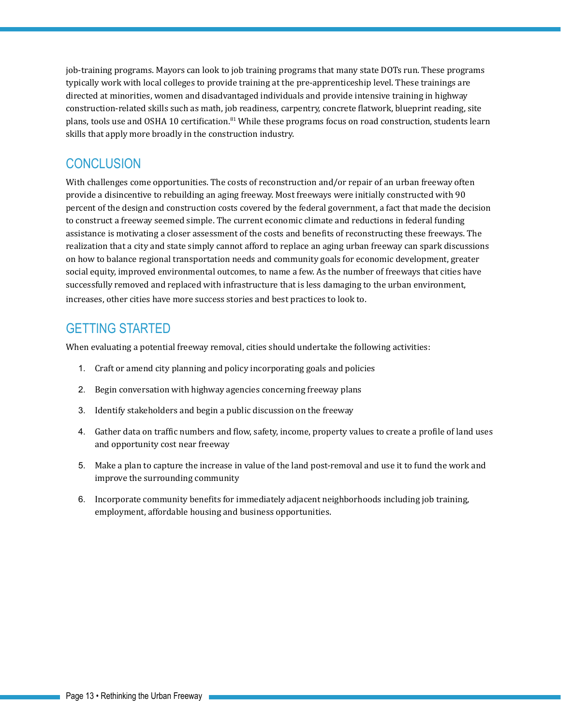job-training programs. Mayors can look to job training programs that many state DOTs run. These programs typically work with local colleges to provide training at the pre-apprenticeship level. These trainings are directed at minorities, women and disadvantaged individuals and provide intensive training in highway construction-related skills such as math, job readiness, carpentry, concrete flatwork, blueprint reading, site plans, tools use and OSHA 10 certification.<sup>81</sup> While these programs focus on road construction, students learn skills that apply more broadly in the construction industry.

### **CONCLUSION**

With challenges come opportunities. The costs of reconstruction and/or repair of an urban freeway often provide a disincentive to rebuilding an aging freeway. Most freeways were initially constructed with 90 percent of the design and construction costs covered by the federal government, a fact that made the decision to construct a freeway seemed simple. The current economic climate and reductions in federal funding assistance is motivating a closer assessment of the costs and benefits of reconstructing these freeways. The realization that a city and state simply cannot afford to replace an aging urban freeway can spark discussions on how to balance regional transportation needs and community goals for economic development, greater social equity, improved environmental outcomes, to name a few. As the number of freeways that cities have successfully removed and replaced with infrastructure that is less damaging to the urban environment, increases, other cities have more success stories and best practices to look to.

# Getting Started

When evaluating a potential freeway removal, cities should undertake the following activities:

- 1. Craft or amend city planning and policy incorporating goals and policies
- 2. Begin conversation with highway agencies concerning freeway plans
- 3. Identify stakeholders and begin a public discussion on the freeway
- 4. Gather data on traffic numbers and flow, safety, income, property values to create a profile of land uses and opportunity cost near freeway
- 5. Make a plan to capture the increase in value of the land post-removal and use it to fund the work and improve the surrounding community
- 6. Incorporate community benefits for immediately adjacent neighborhoods including job training, employment, affordable housing and business opportunities.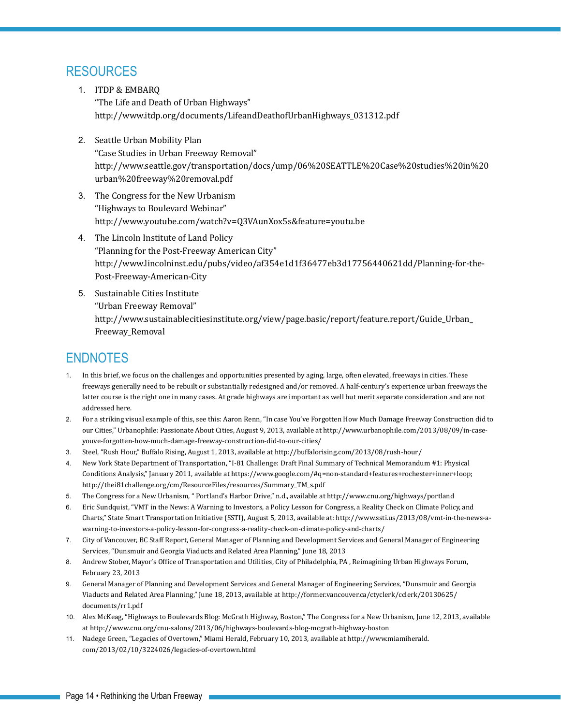# Resources

- 1. ITDP & EMBARQ "The Life and Death of Urban Highways" [http://www.itdp.org/documents/LifeandDeathofUrbanHighways\\_031312.pdf](http://www.itdp.org/documents/LifeandDeathofUrbanHighways_031312.pdf)
- 2. Seattle Urban Mobility Plan "Case Studies in Urban Freeway Removal" [http://www.seattle.gov/transportation/docs/ump/06%20SEATTLE%20Case%20studies%20in%20](http://www.seattle.gov/transportation/docs/ump/06%20SEATTLE%20Case%20studies%20in%20urban%20freeway%20removal.pdf) [urban%20freeway%20removal.pdf](http://www.seattle.gov/transportation/docs/ump/06%20SEATTLE%20Case%20studies%20in%20urban%20freeway%20removal.pdf)
- 3. The Congress for the New Urbanism "Highways to Boulevard Webinar" <http://www.youtube.com/watch?v=Q3VAunXox5s&feature=youtu.be>
- 4. The Lincoln Institute of Land Policy "Planning for the Post-Freeway American City" [http://www.lincolninst.edu/pubs/video/af354e1d1f36477eb3d17756440621dd/Planning-for-the-](http://www.lincolninst.edu/pubs/video/af354e1d1f36477eb3d17756440621dd/Planning-for-the-Post-Freeway-American-City)[Post-Freeway-American-City](http://www.lincolninst.edu/pubs/video/af354e1d1f36477eb3d17756440621dd/Planning-for-the-Post-Freeway-American-City)
- 5. Sustainable Cities Institute "Urban Freeway Removal" [http://www.sustainablecitiesinstitute.org/view/page.basic/report/feature.report/Guide\\_Urban\\_](http://www.sustainablecitiesinstitute.org/view/page.basic/report/feature.report/Guide_Urban_Freeway_Removal) [Freeway\\_Removal](http://www.sustainablecitiesinstitute.org/view/page.basic/report/feature.report/Guide_Urban_Freeway_Removal)

# **ENDNOTES**

- 1. In this brief, we focus on the challenges and opportunities presented by aging, large, often elevated, freeways in cities. These freeways generally need to be rebuilt or substantially redesigned and/or removed. A half-century's experience urban freeways the latter course is the right one in many cases. At grade highways are important as well but merit separate consideration and are not addressed here.
- 2. For a striking visual example of this, see this: Aaron Renn, "In case You've Forgotten How Much Damage Freeway Construction did to our Cities," Urbanophile: Passionate About Cities, August 9, 2013, available at http://www.urbanophile.com/2013/08/09/in-caseyouve-forgotten-how-much-damage-freeway-construction-did-to-our-cities/
- 3. Steel, "Rush Hour," Buffalo Rising, August 1, 2013, available at http://buffalorising.com/2013/08/rush-hour/
- 4. New York State Department of Transportation, "I-81 Challenge: Draft Final Summary of Technical Memorandum #1: Physical Conditions Analysis," January 2011, available at https://www.google.com/#q=non-standard+features+rochester+inner+loop; http://thei81challenge.org/cm/ResourceFiles/resources/Summary\_TM\_s.pdf
- 5. The Congress for a New Urbanism, " Portland's Harbor Drive," n.d., available at http://www.cnu.org/highways/portland
- 6. Eric Sundquist, "VMT in the News: A Warning to Investors, a Policy Lesson for Congress, a Reality Check on Climate Policy, and Charts," State Smart Transportation Initiative (SSTI), August 5, 2013, available at: http://www.ssti.us/2013/08/vmt-in-the-news-awarning-to-investors-a-policy-lesson-for-congress-a-reality-check-on-climate-policy-and-charts/
- 7. City of Vancouver, BC Staff Report, General Manager of Planning and Development Services and General Manager of Engineering Services, "Dunsmuir and Georgia Viaducts and Related Area Planning," June 18, 2013
- 8. Andrew Stober, Mayor's Office of Transportation and Utilities, City of Philadelphia, PA , Reimagining Urban Highways Forum, February 23, 2013
- 9. General Manager of Planning and Development Services and General Manager of Engineering Services, "Dunsmuir and Georgia Viaducts and Related Area Planning," June 18, 2013, available at http://former.vancouver.ca/ctyclerk/cclerk/20130625/ documents/rr1.pdf
- 10. Alex McKeag, "Highways to Boulevards Blog: McGrath Highway, Boston," The Congress for a New Urbanism, June 12, 2013, available at http://www.cnu.org/cnu-salons/2013/06/highways-boulevards-blog-mcgrath-highway-boston
- 11. Nadege Green, "Legacies of Overtown," Miami Herald, February 10, 2013, available at http://www.miamiherald. com/2013/02/10/3224026/legacies-of-overtown.html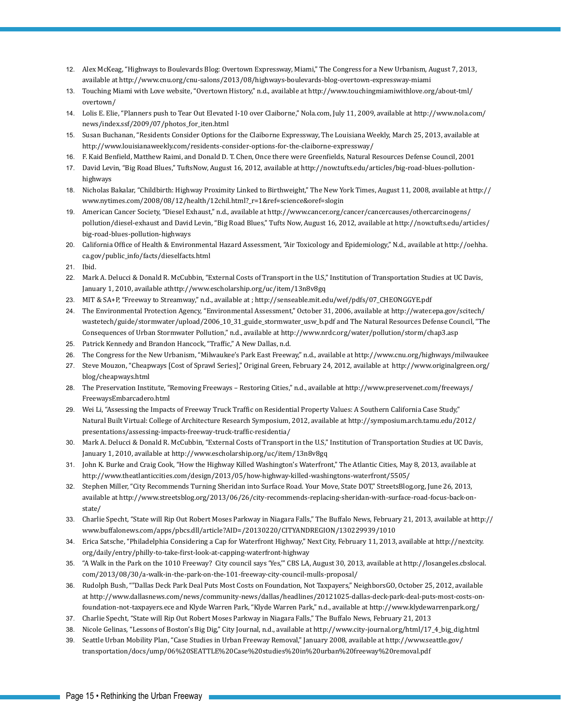- 12. Alex McKeag, "Highways to Boulevards Blog: Overtown Expressway, Miami," The Congress for a New Urbanism, August 7, 2013, available at http://www.cnu.org/cnu-salons/2013/08/highways-boulevards-blog-overtown-expressway-miami
- 13. Touching Miami with Love website, "Overtown History," n.d., available at http://www.touchingmiamiwithlove.org/about-tml/ overtown/
- 14. Lolis E. Elie, "Planners push to Tear Out Elevated I-10 over Claiborne," Nola.com, July 11, 2009, available at http://www.nola.com/ news/index.ssf/2009/07/photos\_for\_iten.html
- 15. Susan Buchanan, "Residents Consider Options for the Claiborne Expressway, The Louisiana Weekly, March 25, 2013, available at http://www.louisianaweekly.com/residents-consider-options-for-the-claiborne-expressway/
- 16. F. Kaid Benfield, Matthew Raimi, and Donald D. T. Chen, Once there were Greenfields, Natural Resources Defense Council, 2001
- 17. David Levin, "Big Road Blues," TuftsNow, August 16, 2012, available at http://now.tufts.edu/articles/big-road-blues-pollutionhighways
- 18. Nicholas Bakalar, "Childbirth: Highway Proximity Linked to Birthweight," The New York Times, August 11, 2008, available at http:// www.nytimes.com/2008/08/12/health/12chil.html?\_r=1&ref=science&oref=slogin
- 19. American Cancer Society, "Diesel Exhaust," n.d., available at http://www.cancer.org/cancer/cancercauses/othercarcinogens/ pollution/diesel-exhaust and David Levin, "Big Road Blues," Tufts Now, August 16, 2012, available at http://now.tufts.edu/articles/ big-road-blues-pollution-highways
- 20. California Office of Health & Environmental Hazard Assessment, "Air Toxicology and Epidemiology," N.d., available at http://oehha. ca.gov/public\_info/facts/dieselfacts.html
- 21. Ibid.
- 22. Mark A. Delucci & Donald R. McCubbin, "External Costs of Transport in the U.S," Institution of Transportation Studies at UC Davis, January 1, 2010, available athttp://www.escholarship.org/uc/item/13n8v8gq
- 23. MIT & SA+P, "Freeway to Streamway," n.d., available at ; http://senseable.mit.edu/wef/pdfs/07\_CHEONGGYE.pdf
- 24. The Environmental Protection Agency, "Environmental Assessment," October 31, 2006, available at http://water.epa.gov/scitech/ wastetech/guide/stormwater/upload/2006\_10\_31\_guide\_stormwater\_usw\_b.pdf and The Natural Resources Defense Council, "The Consequences of Urban Stormwater Pollution," n.d., available at http://www.nrdc.org/water/pollution/storm/chap3.asp
- 25. Patrick Kennedy and Brandon Hancock, "Traffic," A New Dallas, n.d.
- 26. The Congress for the New Urbanism, "Milwaukee's Park East Freeway," n.d., available at http://www.cnu.org/highways/milwaukee
- 27. Steve Mouzon, "Cheapways [Cost of Sprawl Series]," Original Green, February 24, 2012, available at http://www.originalgreen.org/ blog/cheapways.html
- 28. The Preservation Institute, "Removing Freeways Restoring Cities," n.d., available at http://www.preservenet.com/freeways/ FreewaysEmbarcadero.html
- 29. Wei Li, "Assessing the Impacts of Freeway Truck Traffic on Residential Property Values: A Southern California Case Study," Natural Built Virtual: College of Architecture Research Symposium, 2012, available at http://symposium.arch.tamu.edu/2012/ presentations/assessing-impacts-freeway-truck-traffic-residentia/
- 30. Mark A. Delucci & Donald R. McCubbin, "External Costs of Transport in the U.S," Institution of Transportation Studies at UC Davis, January 1, 2010, available at http://www.escholarship.org/uc/item/13n8v8gq
- 31. John K. Burke and Craig Cook, "How the Highway Killed Washington's Waterfront," The Atlantic Cities, May 8, 2013, available at http://www.theatlanticcities.com/design/2013/05/how-highway-killed-washingtons-waterfront/5505/
- 32. Stephen Miller, "City Recommends Turning Sheridan into Surface Road. Your Move, State DOT," StreetsBlog.org, June 26, 2013, available at http://www.streetsblog.org/2013/06/26/city-recommends-replacing-sheridan-with-surface-road-focus-back-onstate/
- 33. Charlie Specht, "State will Rip Out Robert Moses Parkway in Niagara Falls," The Buffalo News, February 21, 2013, available at http:// www.buffalonews.com/apps/pbcs.dll/article?AID=/20130220/CITYANDREGION/130229939/1010
- 34. Erica Satsche, "Philadelphia Considering a Cap for Waterfront Highway," Next City, February 11, 2013, available at http://nextcity. org/daily/entry/philly-to-take-first-look-at-capping-waterfront-highway
- 35. "A Walk in the Park on the 1010 Freeway? City council says 'Yes,'" CBS LA, August 30, 2013, available at http://losangeles.cbslocal. com/2013/08/30/a-walk-in-the-park-on-the-101-freeway-city-council-mulls-proposal/
- 36. Rudolph Bush, ""Dallas Deck Park Deal Puts Most Costs on Foundation, Not Taxpayers," NeighborsGO, October 25, 2012, available at http://www.dallasnews.com/news/community-news/dallas/headlines/20121025-dallas-deck-park-deal-puts-most-costs-onfoundation-not-taxpayers.ece and Klyde Warren Park, "Klyde Warren Park," n.d., available at http://www.klydewarrenpark.org/
- 37. Charlie Specht, "State will Rip Out Robert Moses Parkway in Niagara Falls," The Buffalo News, February 21, 2013
- 38. Nicole Gelinas, "Lessons of Boston's Big Dig," City Journal, n.d., available at http://www.city-journal.org/html/17\_4\_big\_dig.html
- 39. Seattle Urban Mobility Plan, "Case Studies in Urban Freeway Removal," January 2008, available at http://www.seattle.gov/ transportation/docs/ump/06%20SEATTLE%20Case%20studies%20in%20urban%20freeway%20removal.pdf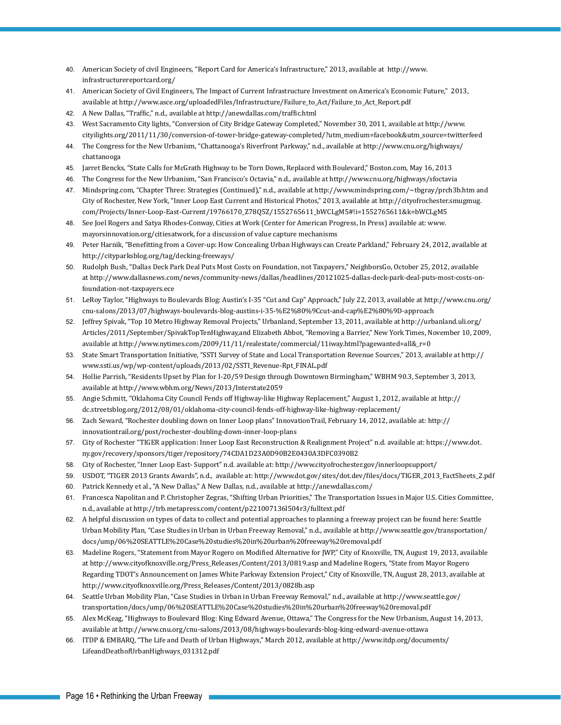- 40. American Society of civil Engineers, "Report Card for America's Infrastructure," 2013, available at http://www. infrastructurereportcard.org/
- 41. American Society of Civil Engineers, The Impact of Current Infrastructure Investment on America's Economic Future," 2013, available at http://www.asce.org/uploadedFiles/Infrastructure/Failure\_to\_Act/Failure\_to\_Act\_Report.pdf
- 42. A New Dallas, "Traffic," n.d., available at http://anewdallas.com/traffic.html
- 43. West Sacramento City lights, "Conversion of City Bridge Gateway Completed," November 30, 2011, available at http://www. cityilights.org/2011/11/30/conversion-of-tower-bridge-gateway-completed/?utm\_medium=facebook&utm\_source=twitterfeed
- 44. The Congress for the New Urbanism, "Chattanooga's Riverfront Parkway," n.d., available at http://www.cnu.org/highways/ chattanooga
- 45. Jarret Bencks, "State Calls for McGrath Highway to be Torn Down, Replaced with Boulevard," Boston.com, May 16, 2013
- 46. The Congress for the New Urbanism, "San Francisco's Octavia," n.d., available at http://www.cnu.org/highways/sfoctavia
- 47. Mindspring.com, "Chapter Three: Strategies (Continued)," n.d., available at http://www.mindspring.com/~tbgray/prch3b.htm and City of Rochester, New York, "Inner Loop East Current and Historical Photos," 2013, available at http://cityofrochester.smugmug. com/Projects/Inner-Loop-East-Current/19766170\_Z78Q5Z/1552765611\_bWCLgM5#!i=1552765611&k=bWCLgM5
- 48. See Joel Rogers and Satya Rhodes-Conway, Cities at Work (Center for American Progress, In Press) available at: www. mayorsinnovation.org/citiesatwork, for a discussion of value capture mechanisms
- 49. Peter Harnik, "Benefitting from a Cover-up: How Concealing Urban Highways can Create Parkland," February 24, 2012, available at http://cityparksblog.org/tag/decking-freeways/
- 50. Rudolph Bush, "Dallas Deck Park Deal Puts Most Costs on Foundation, not Taxpayers," NeighborsGo, October 25, 2012, available at http://www.dallasnews.com/news/community-news/dallas/headlines/20121025-dallas-deck-park-deal-puts-most-costs-onfoundation-not-taxpayers.ece
- 51. LeRoy Taylor, "Highways to Boulevards Blog: Austin's I-35 "Cut and Cap" Approach," July 22, 2013, available at http://www.cnu.org/ cnu-salons/2013/07/highways-boulevards-blog-austins-i-35-%E2%80%9Ccut-and-cap%E2%80%9D-approach
- 52. Jeffrey Spivak, "Top 10 Metro Highway Removal Projects," Urbanland, September 13, 2011, available at http://urbanland.uli.org/ Articles/2011/September/SpivakTopTenHighway,and Elizabeth Abbot, "Removing a Barrier," New York Times, November 10, 2009, available at http://www.nytimes.com/2009/11/11/realestate/commercial/11iway.html?pagewanted=all&\_r=0
- 53. State Smart Transportation Initiative, "SSTI Survey of State and Local Transportation Revenue Sources," 2013, available at http:// www.ssti.us/wp/wp-content/uploads/2013/02/SSTI\_Revenue-Rpt\_FINAL.pdf
- 54. Hollie Parrish, "Residents Upset by Plan for I-20/59 Design through Downtown Birmingham," WBHM 90.3, September 3, 2013, available at http://www.wbhm.org/News/2013/Interstate2059
- 55. Angie Schmitt, "Oklahoma City Council Fends off Highway-like Highway Replacement," August 1, 2012, available at http:// dc.streetsblog.org/2012/08/01/oklahoma-city-council-fends-off-highway-like-highway-replacement/
- 56. Zach Seward, "Rochester doubling down on Inner Loop plans" InnovationTrail, February 14, 2012, available at: http:// innovationtrail.org/post/rochester-doubling-down-inner-loop-plans
- 57. City of Rochester "TIGER application: Inner Loop East Reconstruction & Realignment Project" n.d. available at: https://www.dot. ny.gov/recovery/sponsors/tiger/repository/74CDA1D23A0D90B2E0430A3DFC0390B2
- 58. City of Rochester, "Inner Loop East- Support" n.d. available at: http://www.cityofrochester.gov/innerloopsupport/
- 59. USDOT, "TIGER 2013 Grants Awards", n.d., available at: http://www.dot.gov/sites/dot.dev/files/docs/TIGER\_2013\_FactSheets\_2.pdf
- 60. Patrick Kennedy et al., "A New Dallas," A New Dallas, n.d., available at http://anewdallas.com/
- 61. Francesca Napolitan and P. Christopher Zegras, "Shifting Urban Priorities," The Transportation Issues in Major U.S. Cities Committee, n.d., available at http://trb.metapress.com/content/p221007136l504r3/fulltext.pdf
- 62. A helpful discussion on types of data to collect and potential approaches to planning a freeway project can be found here: Seattle Urban Mobility Plan, "Case Studies in Urban in Urban Freeway Removal," n.d., available at http://www.seattle.gov/transportation/ docs/ump/06%20SEATTLE%20Case%20studies%20in%20urban%20freeway%20removal.pdf
- 63. Madeline Rogers, "Statement from Mayor Rogero on Modified Alternative for JWP," City of Knoxville, TN, August 19, 2013, available at http://www.cityofknoxville.org/Press\_Releases/Content/2013/0819.asp and Madeline Rogers, "State from Mayor Rogero Regarding TDOT's Announcement on James White Parkway Extension Project," City of Knoxville, TN, August 28, 2013, available at http://www.cityofknoxville.org/Press\_Releases/Content/2013/0828b.asp
- 64. Seattle Urban Mobility Plan, "Case Studies in Urban in Urban Freeway Removal," n.d., available at http://www.seattle.gov/ transportation/docs/ump/06%20SEATTLE%20Case%20studies%20in%20urban%20freeway%20removal.pdf
- 65. Alex McKeag, "Highways to Boulevard Blog: King Edward Avenue, Ottawa," The Congress for the New Urbanism, August 14, 2013, available at http://www.cnu.org/cnu-salons/2013/08/highways-boulevards-blog-king-edward-avenue-ottawa
- 66. ITDP & EMBARQ, "The Life and Death of Urban Highways," March 2012, available at http://www.itdp.org/documents/ LifeandDeathofUrbanHighways\_031312.pdf